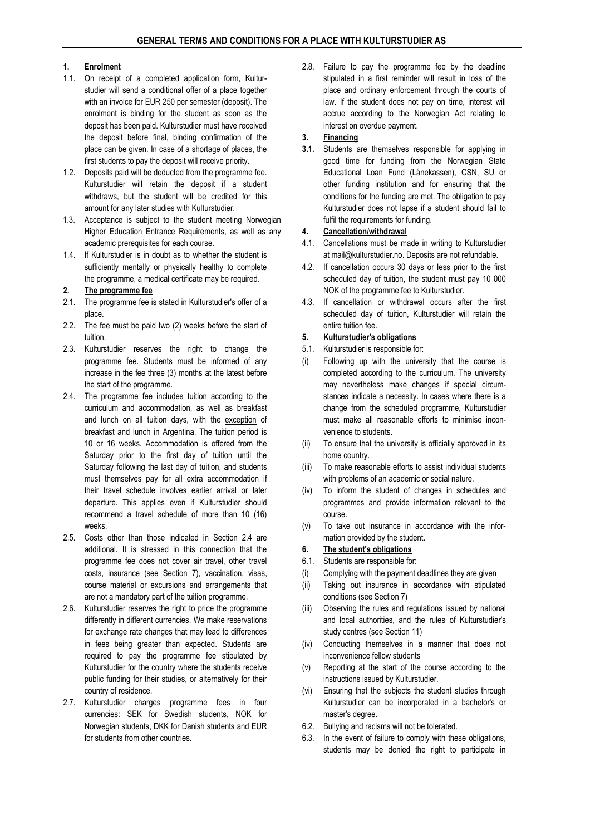### 1. Enrolment

- 1.1. On receipt of a completed application form, Kulturstudier will send a conditional offer of a place together with an invoice for EUR 250 per semester (deposit). The enrolment is binding for the student as soon as the deposit has been paid. Kulturstudier must have received the deposit before final, binding confirmation of the place can be given. In case of a shortage of places, the first students to pay the deposit will receive priority.
- 1.2. Deposits paid will be deducted from the programme fee. Kulturstudier will retain the deposit if a student withdraws, but the student will be credited for this amount for any later studies with Kulturstudier.
- 1.3. Acceptance is subject to the student meeting Norwegian Higher Education Entrance Requirements, as well as any academic prerequisites for each course.
- 1.4. If Kulturstudier is in doubt as to whether the student is sufficiently mentally or physically healthy to complete the programme, a medical certificate may be required.

#### 2. The programme fee

- 2.1. The programme fee is stated in Kulturstudier's offer of a place.
- 2.2. The fee must be paid two (2) weeks before the start of tuition.
- 2.3. Kulturstudier reserves the right to change the programme fee. Students must be informed of any increase in the fee three (3) months at the latest before the start of the programme.
- 2.4. The programme fee includes tuition according to the curriculum and accommodation, as well as breakfast and lunch on all tuition days, with the exception of breakfast and lunch in Argentina. The tuition period is 10 or 16 weeks. Accommodation is offered from the Saturday prior to the first day of tuition until the Saturday following the last day of tuition, and students must themselves pay for all extra accommodation if their travel schedule involves earlier arrival or later departure. This applies even if Kulturstudier should recommend a travel schedule of more than 10 (16) weeks.
- 2.5. Costs other than those indicated in Section 2.4 are additional. It is stressed in this connection that the programme fee does not cover air travel, other travel costs, insurance (see Section 7), vaccination, visas, course material or excursions and arrangements that are not a mandatory part of the tuition programme.
- 2.6. Kulturstudier reserves the right to price the programme differently in different currencies. We make reservations for exchange rate changes that may lead to differences in fees being greater than expected. Students are required to pay the programme fee stipulated by Kulturstudier for the country where the students receive public funding for their studies, or alternatively for their country of residence.
- 2.7. Kulturstudier charges programme fees in four currencies: SEK for Swedish students, NOK for Norwegian students, DKK for Danish students and EUR for students from other countries.

2.8. Failure to pay the programme fee by the deadline stipulated in a first reminder will result in loss of the place and ordinary enforcement through the courts of law. If the student does not pay on time, interest will accrue according to the Norwegian Act relating to interest on overdue payment.

### 3. Financing

3.1. Students are themselves responsible for applying in good time for funding from the Norwegian State Educational Loan Fund (Lånekassen), CSN, SU or other funding institution and for ensuring that the conditions for the funding are met. The obligation to pay Kulturstudier does not lapse if a student should fail to fulfil the requirements for funding.

## 4. Cancellation/withdrawal

- 4.1. Cancellations must be made in writing to Kulturstudier at mail@kulturstudier.no. Deposits are not refundable.
- 4.2. If cancellation occurs 30 days or less prior to the first scheduled day of tuition, the student must pay 10 000 NOK of the programme fee to Kulturstudier.
- 4.3. If cancellation or withdrawal occurs after the first scheduled day of tuition, Kulturstudier will retain the entire tuition fee.

### 5. Kulturstudier's obligations

- 5.1. Kulturstudier is responsible for:
- (i) Following up with the university that the course is completed according to the curriculum. The university may nevertheless make changes if special circumstances indicate a necessity. In cases where there is a change from the scheduled programme, Kulturstudier must make all reasonable efforts to minimise inconvenience to students.
- (ii) To ensure that the university is officially approved in its home country.
- (iii) To make reasonable efforts to assist individual students with problems of an academic or social nature.
- (iv) To inform the student of changes in schedules and programmes and provide information relevant to the course.
- (v) To take out insurance in accordance with the information provided by the student.

## 6. The student's obligations

- 6.1. Students are responsible for:
- (i) Complying with the payment deadlines they are given
- (ii) Taking out insurance in accordance with stipulated conditions (see Section 7)
- (iii) Observing the rules and regulations issued by national and local authorities, and the rules of Kulturstudier's study centres (see Section 11)
- (iv) Conducting themselves in a manner that does not inconvenience fellow students
- (v) Reporting at the start of the course according to the instructions issued by Kulturstudier.
- (vi) Ensuring that the subjects the student studies through Kulturstudier can be incorporated in a bachelor's or master's degree.
- 6.2. Bullying and racisms will not be tolerated.
- 6.3. In the event of failure to comply with these obligations, students may be denied the right to participate in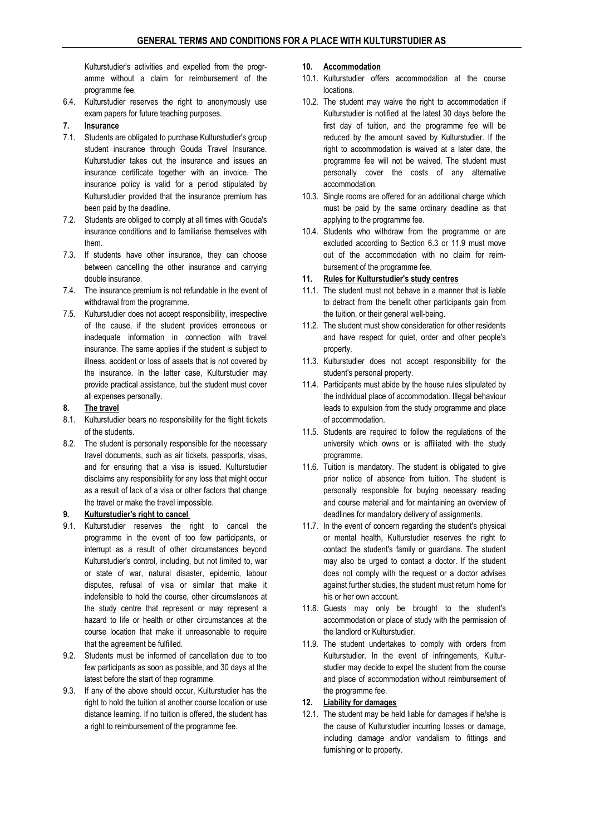Kulturstudier's activities and expelled from the programme without a claim for reimbursement of the programme fee.

- 6.4. Kulturstudier reserves the right to anonymously use exam papers for future teaching purposes.
- 7. Insurance
- 7.1. Students are obligated to purchase Kulturstudier's group student insurance through Gouda Travel Insurance. Kulturstudier takes out the insurance and issues an insurance certificate together with an invoice. The insurance policy is valid for a period stipulated by Kulturstudier provided that the insurance premium has been paid by the deadline.
- 7.2. Students are obliged to comply at all times with Gouda's insurance conditions and to familiarise themselves with them.
- 7.3. If students have other insurance, they can choose between cancelling the other insurance and carrying double insurance.
- 7.4. The insurance premium is not refundable in the event of withdrawal from the programme.
- 7.5. Kulturstudier does not accept responsibility, irrespective of the cause, if the student provides erroneous or inadequate information in connection with travel insurance. The same applies if the student is subject to illness, accident or loss of assets that is not covered by the insurance. In the latter case, Kulturstudier may provide practical assistance, but the student must cover all expenses personally.

### 8. The travel

- 8.1. Kulturstudier bears no responsibility for the flight tickets of the students.
- 8.2. The student is personally responsible for the necessary travel documents, such as air tickets, passports, visas, and for ensuring that a visa is issued. Kulturstudier disclaims any responsibility for any loss that might occur as a result of lack of a visa or other factors that change the travel or make the travel impossible.

### 9. Kulturstudier's right to cancel

- 9.1. Kulturstudier reserves the right to cancel the programme in the event of too few participants, or interrupt as a result of other circumstances beyond Kulturstudier's control, including, but not limited to, war or state of war, natural disaster, epidemic, labour disputes, refusal of visa or similar that make it indefensible to hold the course, other circumstances at the study centre that represent or may represent a hazard to life or health or other circumstances at the course location that make it unreasonable to require that the agreement be fulfilled.
- 9.2. Students must be informed of cancellation due to too few participants as soon as possible, and 30 days at the latest before the start of thep rogramme.
- 9.3. If any of the above should occur, Kulturstudier has the right to hold the tuition at another course location or use distance learning. If no tuition is offered, the student has a right to reimbursement of the programme fee.

#### 10. Accommodation

- 10.1. Kulturstudier offers accommodation at the course locations.
- 10.2. The student may waive the right to accommodation if Kulturstudier is notified at the latest 30 days before the first day of tuition, and the programme fee will be reduced by the amount saved by Kulturstudier. If the right to accommodation is waived at a later date, the programme fee will not be waived. The student must personally cover the costs of any alternative accommodation.
- 10.3. Single rooms are offered for an additional charge which must be paid by the same ordinary deadline as that applying to the programme fee.
- 10.4. Students who withdraw from the programme or are excluded according to Section 6.3 or 11.9 must move out of the accommodation with no claim for reimbursement of the programme fee.
- 11. Rules for Kulturstudier's study centres
- 11.1. The student must not behave in a manner that is liable to detract from the benefit other participants gain from the tuition, or their general well-being.
- 11.2. The student must show consideration for other residents and have respect for quiet, order and other people's property.
- 11.3. Kulturstudier does not accept responsibility for the student's personal property.
- 11.4. Participants must abide by the house rules stipulated by the individual place of accommodation. Illegal behaviour leads to expulsion from the study programme and place of accommodation.
- 11.5. Students are required to follow the regulations of the university which owns or is affiliated with the study programme.
- 11.6. Tuition is mandatory. The student is obligated to give prior notice of absence from tuition. The student is personally responsible for buying necessary reading and course material and for maintaining an overview of deadlines for mandatory delivery of assignments.
- 11.7. In the event of concern regarding the student's physical or mental health, Kulturstudier reserves the right to contact the student's family or guardians. The student may also be urged to contact a doctor. If the student does not comply with the request or a doctor advises against further studies, the student must return home for his or her own account.
- 11.8. Guests may only be brought to the student's accommodation or place of study with the permission of the landlord or Kulturstudier.
- 11.9. The student undertakes to comply with orders from Kulturstudier. In the event of infringements, Kulturstudier may decide to expel the student from the course and place of accommodation without reimbursement of the programme fee.

## 12. Liability for damages

12.1. The student may be held liable for damages if he/she is the cause of Kulturstudier incurring losses or damage, including damage and/or vandalism to fittings and furnishing or to property.